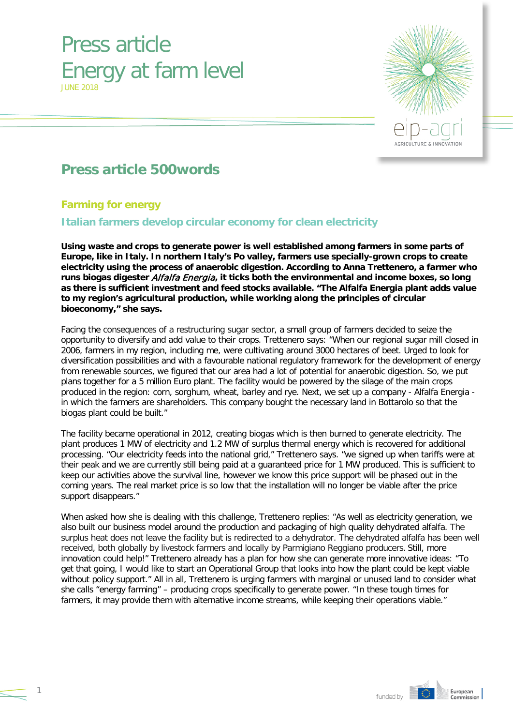# Press article Energy at farm level JUNE 2018



## **Press article 500words**

#### **Farming for energy**

### **Italian farmers develop circular economy for clean electricity**

**Using waste and crops to generate power is well established among farmers in some parts of Europe, like in Italy. In northern Italy's Po valley, farmers use specially-grown crops to create electricity using the process of anaerobic digestion. According to Anna Trettenero, a farmer who runs biogas digester** Alfalfa Energia**, it ticks both the environmental and income boxes, so long as there is sufficient investment and feed stocks available. "The Alfalfa Energia plant adds value to my region's agricultural production, while working along the principles of circular bioeconomy," she says.**

Facing the consequences of a restructuring sugar sector, a small group of farmers decided to seize the opportunity to diversify and add value to their crops. Trettenero says: "When our regional sugar mill closed in 2006, farmers in my region, including me, were cultivating around 3000 hectares of beet. Urged to look for diversification possibilities and with a favourable national regulatory framework for the development of energy from renewable sources, we figured that our area had a lot of potential for anaerobic digestion. So, we put plans together for a 5 million Euro plant. The facility would be powered by the silage of the main crops produced in the region: corn, sorghum, wheat, barley and rye. Next, we set up a company - Alfalfa Energia in which the farmers are shareholders. This company bought the necessary land in Bottarolo so that the biogas plant could be built."

The facility became operational in 2012, creating biogas which is then burned to generate electricity. The plant produces 1 MW of electricity and 1.2 MW of surplus thermal energy which is recovered for additional processing. "Our electricity feeds into the national grid," Trettenero says. "we signed up when tariffs were at their peak and we are currently still being paid at a guaranteed price for 1 MW produced. This is sufficient to keep our activities above the survival line, however we know this price support will be phased out in the coming years. The real market price is so low that the installation will no longer be viable after the price support disappears."

When asked how she is dealing with this challenge, Trettenero replies: "As well as electricity generation, we also built our business model around the production and packaging of high quality dehydrated alfalfa. The surplus heat does not leave the facility but is redirected to a dehydrator. The dehydrated alfalfa has been well received, both globally by livestock farmers and locally by Parmigiano Reggiano producers. Still, more innovation could help!" Trettenero already has a plan for how she can generate more innovative ideas: "To get that going, I would like to start an Operational Group that looks into how the plant could be kept viable without policy support." All in all, Trettenero is urging farmers with marginal or unused land to consider what she calls "energy farming" – producing crops specifically to generate power. "In these tough times for farmers, it may provide them with alternative income streams, while keeping their operations viable."



1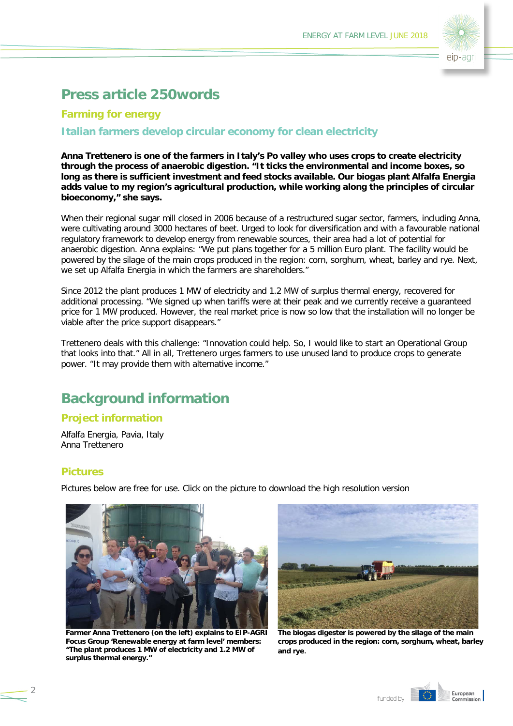

### **Press article 250words**

#### **Farming for energy**

### **Italian farmers develop circular economy for clean electricity**

**Anna Trettenero is one of the farmers in Italy's Po valley who uses crops to create electricity through the process of anaerobic digestion. "It ticks the environmental and income boxes, so long as there is sufficient investment and feed stocks available. Our biogas plant Alfalfa Energia adds value to my region's agricultural production, while working along the principles of circular bioeconomy," she says.**

When their regional sugar mill closed in 2006 because of a restructured sugar sector, farmers, including Anna, were cultivating around 3000 hectares of beet. Urged to look for diversification and with a favourable national regulatory framework to develop energy from renewable sources, their area had a lot of potential for anaerobic digestion. Anna explains: "We put plans together for a 5 million Euro plant. The facility would be powered by the silage of the main crops produced in the region: corn, sorghum, wheat, barley and rye. Next, we set up Alfalfa Energia in which the farmers are shareholders."

Since 2012 the plant produces 1 MW of electricity and 1.2 MW of surplus thermal energy, recovered for additional processing. "We signed up when tariffs were at their peak and we currently receive a guaranteed price for 1 MW produced. However, the real market price is now so low that the installation will no longer be viable after the price support disappears."

Trettenero deals with this challenge: "Innovation could help. So, I would like to start an Operational Group that looks into that." All in all, Trettenero urges farmers to use unused land to produce crops to generate power. "It may provide them with alternative income."

## **Background information**

#### **Project information**

Alfalfa Energia, Pavia, Italy Anna Trettenero

#### **Pictures**

Pictures below are free for use. Click on the picture to download the high resolution version



**Farmer Anna Trettenero (on the left) explains to EIP-AGRI Focus Group 'Renewable energy at farm level' members: "The plant produces 1 MW of electricity and 1.2 MW of surplus thermal energy."**



**The biogas digester is powered by the silage of the main crops produced in the region: corn, sorghum, wheat, barley and rye**.

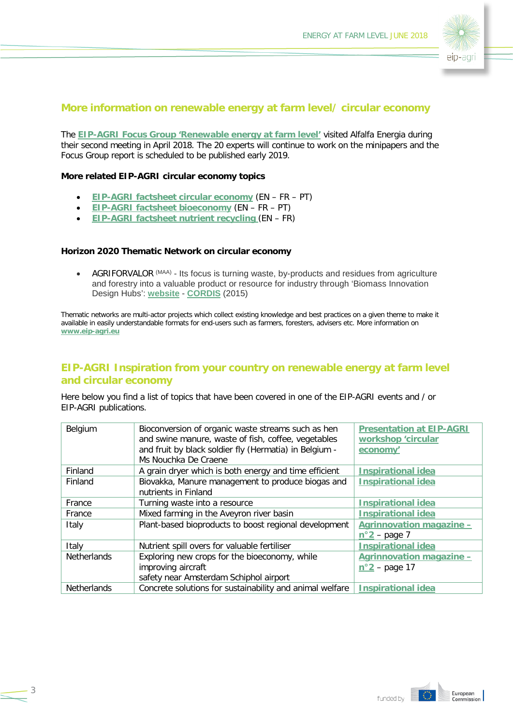

#### **More information on renewable energy at farm level/ circular economy**

The **[EIP-AGRI Focus Group 'Renewable energy at farm level'](https://ec.europa.eu/eip/agriculture/en/focus-groups/enhancing-production-and-use-renewable-energy-farm)** visited Alfalfa Energia during their second meeting in April 2018. The 20 experts will continue to work on the minipapers and the Focus Group report is scheduled to be published early 2019.

#### **More related EIP-AGRI circular economy topics**

- **[EIP-AGRI factsheet circular economy](https://ec.europa.eu/eip/agriculture/en/publications/eip-agri-factsheet-circular-economy)** (EN FR PT)
- **[EIP-AGRI factsheet bioeconomy](https://ec.europa.eu/eip/agriculture/en/publications/eip-agri-factsheet-bioeconomy)** (EN FR PT)
- **[EIP-AGRI factsheet nutrient recycling](https://ec.europa.eu/eip/agriculture/en/publications/eip-agri-factsheet-nutrient-recycling)** (EN FR)

#### **Horizon 2020 Thematic Network on circular economy**

• AGRIFORVALOR (MAA) - Its focus is turning waste, by-products and residues from agriculture and forestry into a valuable product or resource for industry through 'Biomass Innovation Design Hubs': **[website](http://www.agriforvalor.eu/)** - **[CORDIS](http://cordis.europa.eu/project/rcn/200220_en.html)** (2015)

Thematic networks are multi-actor projects which collect existing knowledge and best practices on a given theme to make it available in easily understandable formats for end-users such as farmers, foresters, advisers etc. More information on **[www.eip-agri.eu](https://ec.europa.eu/eip/agriculture/en/about/thematic-networks-%E2%80%93-closing-research-and)**

#### **EIP-AGRI Inspiration from your country on renewable energy at farm level and circular economy**

Here below you find a list of topics that have been covered in one of the EIP-AGRI events and / or EIP-AGRI publications.

| Belgium            | Bioconversion of organic waste streams such as hen       | <b>Presentation at EIP-AGRI</b> |
|--------------------|----------------------------------------------------------|---------------------------------|
|                    | and swine manure, waste of fish, coffee, vegetables      | workshop 'circular              |
|                    | and fruit by black soldier fly (Hermatia) in Belgium -   | economy'                        |
|                    | Ms Nouchka De Craene                                     |                                 |
| Finland            | A grain dryer which is both energy and time efficient    | <b>Inspirational idea</b>       |
| Finland            | Biovakka, Manure management to produce biogas and        | <b>Inspirational idea</b>       |
|                    | nutrients in Finland                                     |                                 |
| France             | Turning waste into a resource                            | <b>Inspirational idea</b>       |
| France             | Mixed farming in the Aveyron river basin                 | <b>Inspirational idea</b>       |
| Italy              | Plant-based bioproducts to boost regional development    | <b>Agrinnovation magazine -</b> |
|                    |                                                          | $n^{\circ}2$ – page 7           |
| Italy              | Nutrient spill overs for valuable fertiliser             | <b>Inspirational idea</b>       |
| <b>Netherlands</b> | Exploring new crops for the bioeconomy, while            | <b>Agrinnovation magazine -</b> |
|                    | improving aircraft                                       | $n^{\circ}2$ – page 17          |
|                    | safety near Amsterdam Schiphol airport                   |                                 |
| <b>Netherlands</b> | Concrete solutions for sustainability and animal welfare | <b>Inspirational idea</b>       |